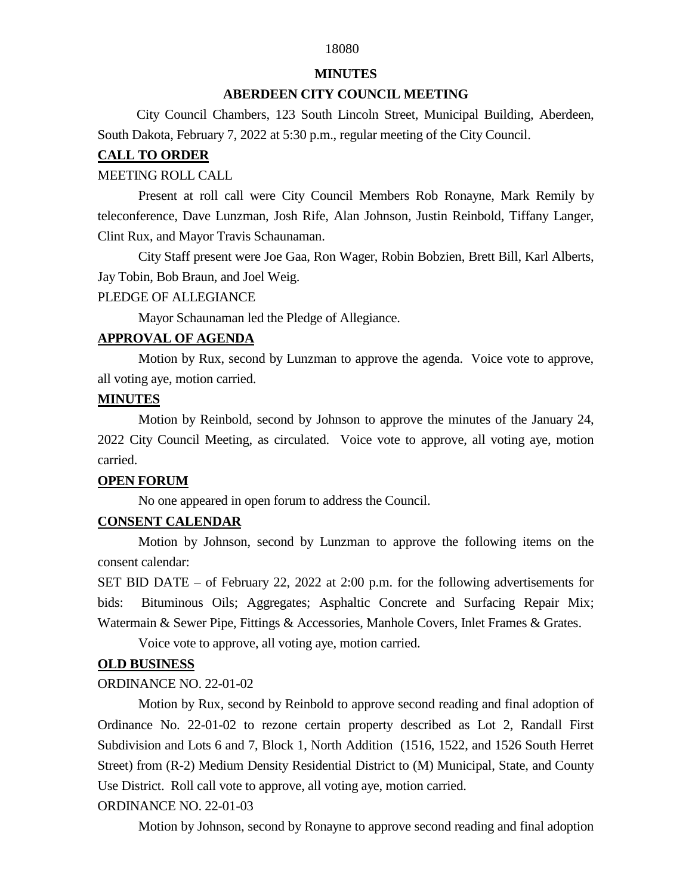## 18080

#### **MINUTES**

#### **ABERDEEN CITY COUNCIL MEETING**

 City Council Chambers, 123 South Lincoln Street, Municipal Building, Aberdeen, South Dakota, February 7, 2022 at 5:30 p.m., regular meeting of the City Council.

#### **CALL TO ORDER**

#### MEETING ROLL CALL

Present at roll call were City Council Members Rob Ronayne, Mark Remily by teleconference, Dave Lunzman, Josh Rife, Alan Johnson, Justin Reinbold, Tiffany Langer, Clint Rux, and Mayor Travis Schaunaman.

City Staff present were Joe Gaa, Ron Wager, Robin Bobzien, Brett Bill, Karl Alberts, Jay Tobin, Bob Braun, and Joel Weig.

#### PLEDGE OF ALLEGIANCE

Mayor Schaunaman led the Pledge of Allegiance.

#### **APPROVAL OF AGENDA**

Motion by Rux, second by Lunzman to approve the agenda. Voice vote to approve, all voting aye, motion carried.

#### **MINUTES**

Motion by Reinbold, second by Johnson to approve the minutes of the January 24, 2022 City Council Meeting, as circulated. Voice vote to approve, all voting aye, motion carried.

### **OPEN FORUM**

No one appeared in open forum to address the Council.

## **CONSENT CALENDAR**

Motion by Johnson, second by Lunzman to approve the following items on the consent calendar:

SET BID DATE – of February 22, 2022 at 2:00 p.m. for the following advertisements for bids: Bituminous Oils; Aggregates; Asphaltic Concrete and Surfacing Repair Mix; Watermain & Sewer Pipe, Fittings & Accessories, Manhole Covers, Inlet Frames & Grates.

Voice vote to approve, all voting aye, motion carried.

## **OLD BUSINESS**

#### ORDINANCE NO. 22-01-02

Motion by Rux, second by Reinbold to approve second reading and final adoption of Ordinance No. 22-01-02 to rezone certain property described as Lot 2, Randall First Subdivision and Lots 6 and 7, Block 1, North Addition (1516, 1522, and 1526 South Herret Street) from (R-2) Medium Density Residential District to (M) Municipal, State, and County Use District. Roll call vote to approve, all voting aye, motion carried.

## ORDINANCE NO. 22-01-03

Motion by Johnson, second by Ronayne to approve second reading and final adoption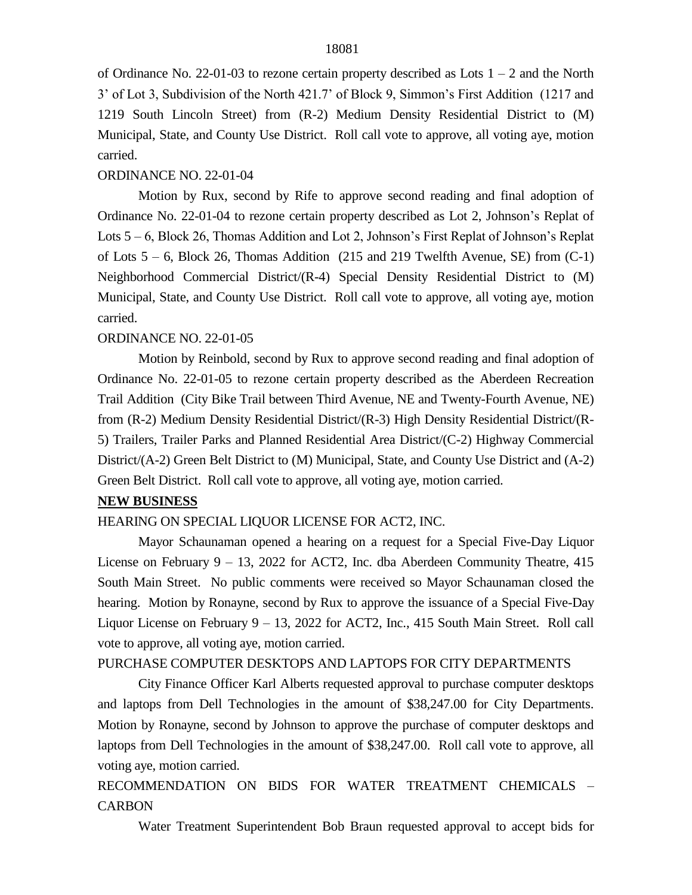of Ordinance No. 22-01-03 to rezone certain property described as Lots 1 – 2 and the North 3' of Lot 3, Subdivision of the North 421.7' of Block 9, Simmon's First Addition (1217 and 1219 South Lincoln Street) from (R-2) Medium Density Residential District to (M) Municipal, State, and County Use District. Roll call vote to approve, all voting aye, motion carried.

#### ORDINANCE NO. 22-01-04

Motion by Rux, second by Rife to approve second reading and final adoption of Ordinance No. 22-01-04 to rezone certain property described as Lot 2, Johnson's Replat of Lots 5 – 6, Block 26, Thomas Addition and Lot 2, Johnson's First Replat of Johnson's Replat of Lots  $5 - 6$ , Block 26, Thomas Addition (215 and 219 Twelfth Avenue, SE) from (C-1) Neighborhood Commercial District/(R-4) Special Density Residential District to (M) Municipal, State, and County Use District. Roll call vote to approve, all voting aye, motion carried.

#### ORDINANCE NO. 22-01-05

Motion by Reinbold, second by Rux to approve second reading and final adoption of Ordinance No. 22-01-05 to rezone certain property described as the Aberdeen Recreation Trail Addition (City Bike Trail between Third Avenue, NE and Twenty-Fourth Avenue, NE) from (R-2) Medium Density Residential District/(R-3) High Density Residential District/(R-5) Trailers, Trailer Parks and Planned Residential Area District/(C-2) Highway Commercial District/(A-2) Green Belt District to (M) Municipal, State, and County Use District and (A-2) Green Belt District. Roll call vote to approve, all voting aye, motion carried.

#### **NEW BUSINESS**

#### HEARING ON SPECIAL LIQUOR LICENSE FOR ACT2, INC.

Mayor Schaunaman opened a hearing on a request for a Special Five-Day Liquor License on February 9 – 13, 2022 for ACT2, Inc. dba Aberdeen Community Theatre, 415 South Main Street. No public comments were received so Mayor Schaunaman closed the hearing. Motion by Ronayne, second by Rux to approve the issuance of a Special Five-Day Liquor License on February 9 – 13, 2022 for ACT2, Inc., 415 South Main Street. Roll call vote to approve, all voting aye, motion carried.

#### PURCHASE COMPUTER DESKTOPS AND LAPTOPS FOR CITY DEPARTMENTS

City Finance Officer Karl Alberts requested approval to purchase computer desktops and laptops from Dell Technologies in the amount of \$38,247.00 for City Departments. Motion by Ronayne, second by Johnson to approve the purchase of computer desktops and laptops from Dell Technologies in the amount of \$38,247.00. Roll call vote to approve, all voting aye, motion carried.

# RECOMMENDATION ON BIDS FOR WATER TREATMENT CHEMICALS – CARBON

Water Treatment Superintendent Bob Braun requested approval to accept bids for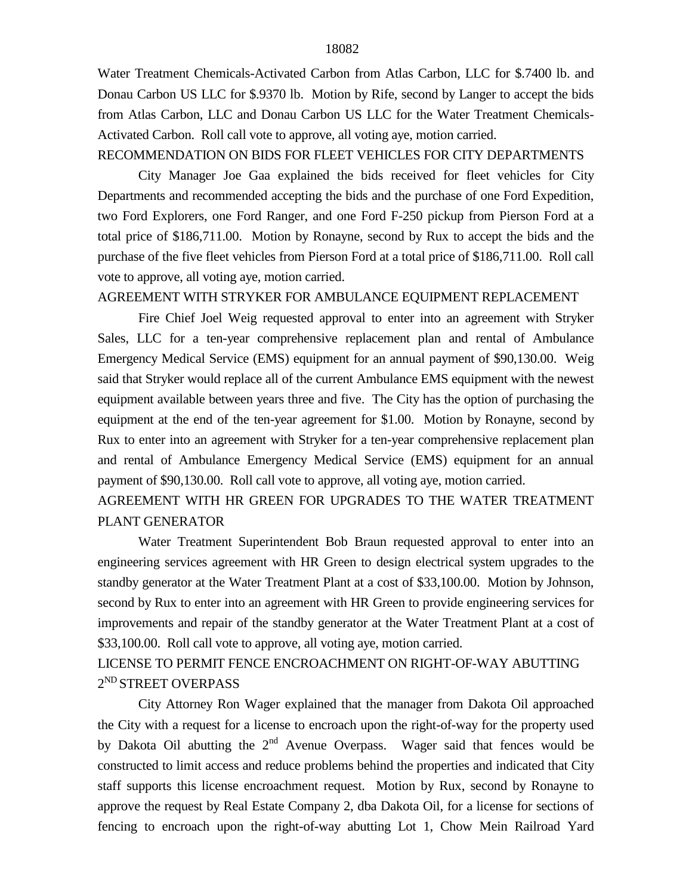Water Treatment Chemicals-Activated Carbon from Atlas Carbon, LLC for \$.7400 lb. and Donau Carbon US LLC for \$.9370 lb. Motion by Rife, second by Langer to accept the bids from Atlas Carbon, LLC and Donau Carbon US LLC for the Water Treatment Chemicals-Activated Carbon. Roll call vote to approve, all voting aye, motion carried.

#### RECOMMENDATION ON BIDS FOR FLEET VEHICLES FOR CITY DEPARTMENTS

City Manager Joe Gaa explained the bids received for fleet vehicles for City Departments and recommended accepting the bids and the purchase of one Ford Expedition, two Ford Explorers, one Ford Ranger, and one Ford F-250 pickup from Pierson Ford at a total price of \$186,711.00. Motion by Ronayne, second by Rux to accept the bids and the purchase of the five fleet vehicles from Pierson Ford at a total price of \$186,711.00. Roll call vote to approve, all voting aye, motion carried.

#### AGREEMENT WITH STRYKER FOR AMBULANCE EQUIPMENT REPLACEMENT

Fire Chief Joel Weig requested approval to enter into an agreement with Stryker Sales, LLC for a ten-year comprehensive replacement plan and rental of Ambulance Emergency Medical Service (EMS) equipment for an annual payment of \$90,130.00. Weig said that Stryker would replace all of the current Ambulance EMS equipment with the newest equipment available between years three and five. The City has the option of purchasing the equipment at the end of the ten-year agreement for \$1.00. Motion by Ronayne, second by Rux to enter into an agreement with Stryker for a ten-year comprehensive replacement plan and rental of Ambulance Emergency Medical Service (EMS) equipment for an annual payment of \$90,130.00. Roll call vote to approve, all voting aye, motion carried.

## AGREEMENT WITH HR GREEN FOR UPGRADES TO THE WATER TREATMENT PLANT GENERATOR

Water Treatment Superintendent Bob Braun requested approval to enter into an engineering services agreement with HR Green to design electrical system upgrades to the standby generator at the Water Treatment Plant at a cost of \$33,100.00. Motion by Johnson, second by Rux to enter into an agreement with HR Green to provide engineering services for improvements and repair of the standby generator at the Water Treatment Plant at a cost of \$33,100.00. Roll call vote to approve, all voting aye, motion carried.

# LICENSE TO PERMIT FENCE ENCROACHMENT ON RIGHT-OF-WAY ABUTTING 2<sup>ND</sup> STREET OVERPASS

City Attorney Ron Wager explained that the manager from Dakota Oil approached the City with a request for a license to encroach upon the right-of-way for the property used by Dakota Oil abutting the  $2<sup>nd</sup>$  Avenue Overpass. Wager said that fences would be constructed to limit access and reduce problems behind the properties and indicated that City staff supports this license encroachment request. Motion by Rux, second by Ronayne to approve the request by Real Estate Company 2, dba Dakota Oil, for a license for sections of fencing to encroach upon the right-of-way abutting Lot 1, Chow Mein Railroad Yard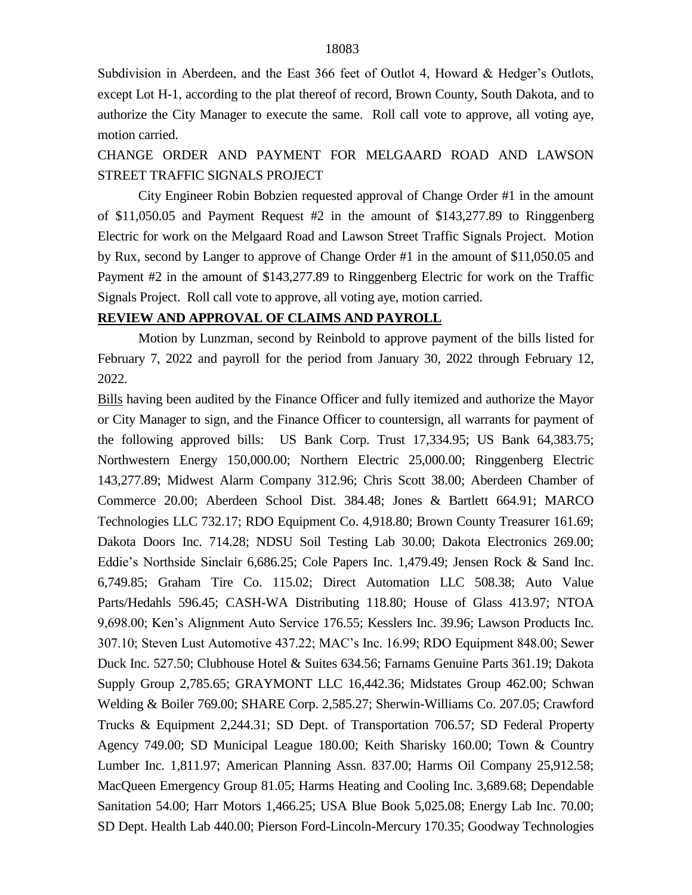Subdivision in Aberdeen, and the East 366 feet of Outlot 4, Howard & Hedger's Outlots, except Lot H-1, according to the plat thereof of record, Brown County, South Dakota, and to authorize the City Manager to execute the same. Roll call vote to approve, all voting aye, motion carried.

CHANGE ORDER AND PAYMENT FOR MELGAARD ROAD AND LAWSON STREET TRAFFIC SIGNALS PROJECT

City Engineer Robin Bobzien requested approval of Change Order #1 in the amount of \$11,050.05 and Payment Request #2 in the amount of \$143,277.89 to Ringgenberg Electric for work on the Melgaard Road and Lawson Street Traffic Signals Project. Motion by Rux, second by Langer to approve of Change Order #1 in the amount of \$11,050.05 and Payment #2 in the amount of \$143,277.89 to Ringgenberg Electric for work on the Traffic Signals Project. Roll call vote to approve, all voting aye, motion carried.

### **REVIEW AND APPROVAL OF CLAIMS AND PAYROLL**

Motion by Lunzman, second by Reinbold to approve payment of the bills listed for February 7, 2022 and payroll for the period from January 30, 2022 through February 12, 2022.

Bills having been audited by the Finance Officer and fully itemized and authorize the Mayor or City Manager to sign, and the Finance Officer to countersign, all warrants for payment of the following approved bills: US Bank Corp. Trust 17,334.95; US Bank 64,383.75; Northwestern Energy 150,000.00; Northern Electric 25,000.00; Ringgenberg Electric 143,277.89; Midwest Alarm Company 312.96; Chris Scott 38.00; Aberdeen Chamber of Commerce 20.00; Aberdeen School Dist. 384.48; Jones & Bartlett 664.91; MARCO Technologies LLC 732.17; RDO Equipment Co. 4,918.80; Brown County Treasurer 161.69; Dakota Doors Inc. 714.28; NDSU Soil Testing Lab 30.00; Dakota Electronics 269.00; Eddie's Northside Sinclair 6,686.25; Cole Papers Inc. 1,479.49; Jensen Rock & Sand Inc. 6,749.85; Graham Tire Co. 115.02; Direct Automation LLC 508.38; Auto Value Parts/Hedahls 596.45; CASH-WA Distributing 118.80; House of Glass 413.97; NTOA 9,698.00; Ken's Alignment Auto Service 176.55; Kesslers Inc. 39.96; Lawson Products Inc. 307.10; Steven Lust Automotive 437.22; MAC's Inc. 16.99; RDO Equipment 848.00; Sewer Duck Inc. 527.50; Clubhouse Hotel & Suites 634.56; Farnams Genuine Parts 361.19; Dakota Supply Group 2,785.65; GRAYMONT LLC 16,442.36; Midstates Group 462.00; Schwan Welding & Boiler 769.00; SHARE Corp. 2,585.27; Sherwin-Williams Co. 207.05; Crawford Trucks & Equipment 2,244.31; SD Dept. of Transportation 706.57; SD Federal Property Agency 749.00; SD Municipal League 180.00; Keith Sharisky 160.00; Town & Country Lumber Inc. 1,811.97; American Planning Assn. 837.00; Harms Oil Company 25,912.58; MacQueen Emergency Group 81.05; Harms Heating and Cooling Inc. 3,689.68; Dependable Sanitation 54.00; Harr Motors 1,466.25; USA Blue Book 5,025.08; Energy Lab Inc. 70.00; SD Dept. Health Lab 440.00; Pierson Ford-Lincoln-Mercury 170.35; Goodway Technologies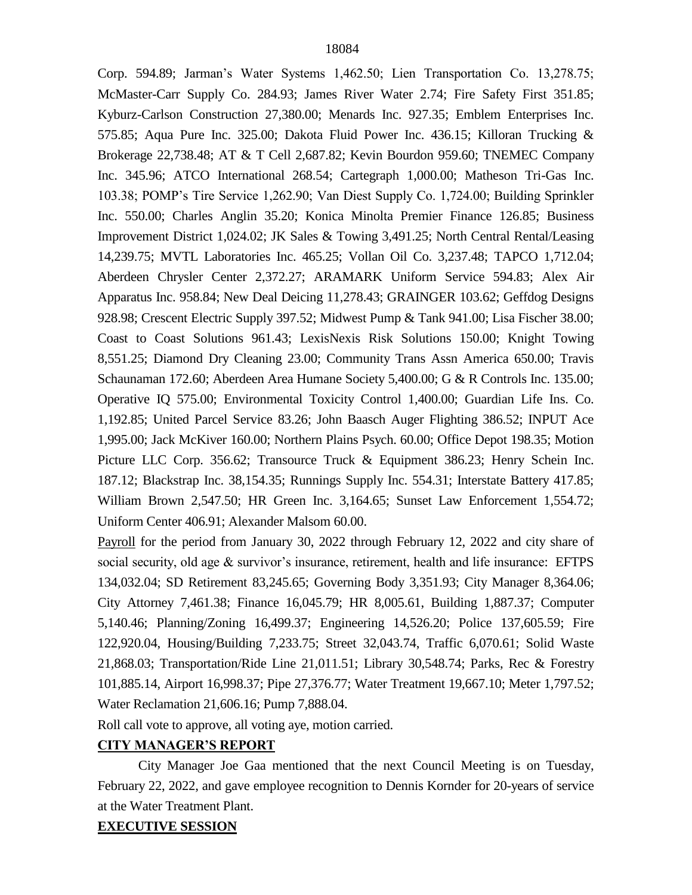Corp. 594.89; Jarman's Water Systems 1,462.50; Lien Transportation Co. 13,278.75; McMaster-Carr Supply Co. 284.93; James River Water 2.74; Fire Safety First 351.85; Kyburz-Carlson Construction 27,380.00; Menards Inc. 927.35; Emblem Enterprises Inc. 575.85; Aqua Pure Inc. 325.00; Dakota Fluid Power Inc. 436.15; Killoran Trucking & Brokerage 22,738.48; AT & T Cell 2,687.82; Kevin Bourdon 959.60; TNEMEC Company Inc. 345.96; ATCO International 268.54; Cartegraph 1,000.00; Matheson Tri-Gas Inc. 103.38; POMP's Tire Service 1,262.90; Van Diest Supply Co. 1,724.00; Building Sprinkler Inc. 550.00; Charles Anglin 35.20; Konica Minolta Premier Finance 126.85; Business Improvement District 1,024.02; JK Sales & Towing 3,491.25; North Central Rental/Leasing 14,239.75; MVTL Laboratories Inc. 465.25; Vollan Oil Co. 3,237.48; TAPCO 1,712.04; Aberdeen Chrysler Center 2,372.27; ARAMARK Uniform Service 594.83; Alex Air Apparatus Inc. 958.84; New Deal Deicing 11,278.43; GRAINGER 103.62; Geffdog Designs 928.98; Crescent Electric Supply 397.52; Midwest Pump & Tank 941.00; Lisa Fischer 38.00; Coast to Coast Solutions 961.43; LexisNexis Risk Solutions 150.00; Knight Towing 8,551.25; Diamond Dry Cleaning 23.00; Community Trans Assn America 650.00; Travis Schaunaman 172.60; Aberdeen Area Humane Society 5,400.00; G & R Controls Inc. 135.00; Operative IQ 575.00; Environmental Toxicity Control 1,400.00; Guardian Life Ins. Co. 1,192.85; United Parcel Service 83.26; John Baasch Auger Flighting 386.52; INPUT Ace 1,995.00; Jack McKiver 160.00; Northern Plains Psych. 60.00; Office Depot 198.35; Motion Picture LLC Corp. 356.62; Transource Truck & Equipment 386.23; Henry Schein Inc. 187.12; Blackstrap Inc. 38,154.35; Runnings Supply Inc. 554.31; Interstate Battery 417.85; William Brown 2,547.50; HR Green Inc. 3,164.65; Sunset Law Enforcement 1,554.72; Uniform Center 406.91; Alexander Malsom 60.00.

Payroll for the period from January 30, 2022 through February 12, 2022 and city share of social security, old age & survivor's insurance, retirement, health and life insurance: EFTPS 134,032.04; SD Retirement 83,245.65; Governing Body 3,351.93; City Manager 8,364.06; City Attorney 7,461.38; Finance 16,045.79; HR 8,005.61, Building 1,887.37; Computer 5,140.46; Planning/Zoning 16,499.37; Engineering 14,526.20; Police 137,605.59; Fire 122,920.04, Housing/Building 7,233.75; Street 32,043.74, Traffic 6,070.61; Solid Waste 21,868.03; Transportation/Ride Line 21,011.51; Library 30,548.74; Parks, Rec & Forestry 101,885.14, Airport 16,998.37; Pipe 27,376.77; Water Treatment 19,667.10; Meter 1,797.52; Water Reclamation 21,606.16; Pump 7,888.04.

Roll call vote to approve, all voting aye, motion carried.

## **CITY MANAGER'S REPORT**

City Manager Joe Gaa mentioned that the next Council Meeting is on Tuesday, February 22, 2022, and gave employee recognition to Dennis Kornder for 20-years of service at the Water Treatment Plant.

## **EXECUTIVE SESSION**